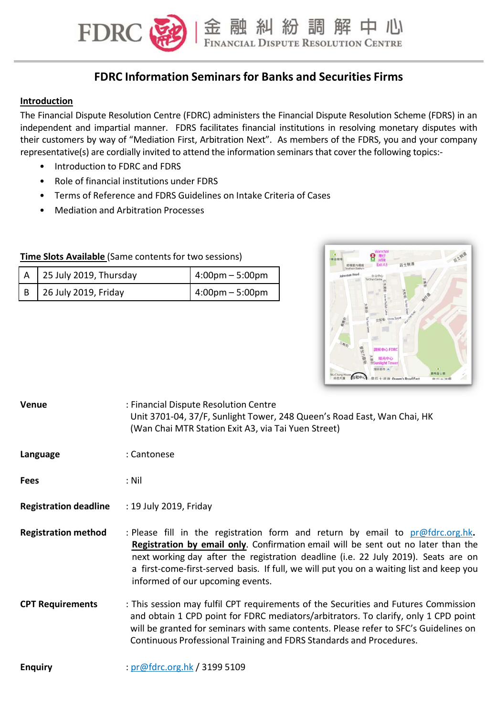

金融糾紛調解中心

#### **Introduction**

The Financial Dispute Resolution Centre (FDRC) administers the Financial Dispute Resolution Scheme (FDRS) in an independent and impartial manner. FDRS facilitates financial institutions in resolving monetary disputes with their customers by way of "Mediation First, Arbitration Next". As members of the FDRS, you and your company representative(s) are cordially invited to attend the information seminars that cover the following topics:-

• Introduction to FDRC and FDRS

**FDRC** 

• Role of financial institutions under FDRS

**Time Slots Available** (Same contents for two sessions)

- Terms of Reference and FDRS Guidelines on Intake Criteria of Cases
- Mediation and Arbitration Processes

| $\Box$ A $\Box$ 25 July 2019, Thursday | $1.00$ pm – 5:00pm |
|----------------------------------------|--------------------|
| B 26 July 2019, Friday                 | 4:00pm – 5:00pm    |



| Venue                        | : Financial Dispute Resolution Centre<br>Unit 3701-04, 37/F, Sunlight Tower, 248 Queen's Road East, Wan Chai, HK<br>(Wan Chai MTR Station Exit A3, via Tai Yuen Street)                                                                                                                                                                                                                     |
|------------------------------|---------------------------------------------------------------------------------------------------------------------------------------------------------------------------------------------------------------------------------------------------------------------------------------------------------------------------------------------------------------------------------------------|
| Language                     | : Cantonese                                                                                                                                                                                                                                                                                                                                                                                 |
| <b>Fees</b>                  | : Nil                                                                                                                                                                                                                                                                                                                                                                                       |
| <b>Registration deadline</b> | : 19 July 2019, Friday                                                                                                                                                                                                                                                                                                                                                                      |
| <b>Registration method</b>   | : Please fill in the registration form and return by email to $pr@fdrc.org.hk$ .<br>Registration by email only. Confirmation email will be sent out no later than the<br>next working day after the registration deadline (i.e. 22 July 2019). Seats are on<br>a first-come-first-served basis. If full, we will put you on a waiting list and keep you<br>informed of our upcoming events. |
| <b>CPT Requirements</b>      | : This session may fulfil CPT requirements of the Securities and Futures Commission<br>and obtain 1 CPD point for FDRC mediators/arbitrators. To clarify, only 1 CPD point<br>will be granted for seminars with same contents. Please refer to SFC's Guidelines on                                                                                                                          |

Continuous Professional Training and FDRS Standards and Procedures.

## **Enquiry** : pr@fdrc.org.hk / 3199 5109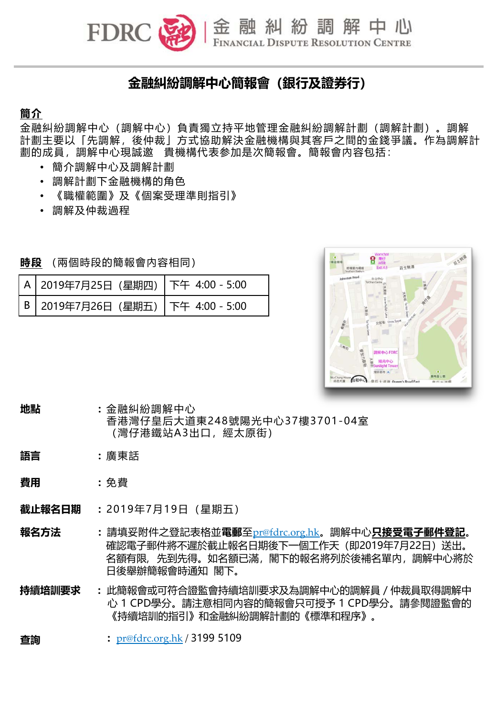金融糾紛調解中心

# **金融糾紛調解中心簡報會(銀行及證券行)**

## **簡介**

金融糾紛調解中心(調解中心)負責獨立持平地管理金融糾紛調解計劃(調解計劃)。調解 計劃主要以「先調解,後仲裁」方式協助解決金融機構與其客戶之間的金錢爭議。作為調解計 劃的成員,調解中心現誠邀 貴機構代表参加是次簡報會。簡報會內容包括:

- 簡介調解中心及調解計劃
- 調解計劃下金融機構的角色

**FDRC** 

- 《職權範圍》及《個案受理準則指引》
- 調解及仲裁過程

**時段** (兩個時段的簡報會內容相同)

| │ A │ 2019年7月25日(星期四)│ 下午  4:00 - 5:00 |  |
|----------------------------------------|--|
| │ В │ 2019年7月26日(星期五)│ 下午  4:00 - 5:00 |  |



### **地點 :** 金融糾紛調解中心 香港灣仔皇后大道東248號陽光中心37樓3701-04室 (灣仔港鐵站A3出口,經太原街)

- **語言 :** 廣東話
- **費用 :** 免費
- **截止報名日期 :** 2019年7月19日(星期五)
- **報名方法 :** 請填妥附件之登記表格並**電郵**至pr@fdrc.org.hk。調解中心**只接受電子郵件登記**。 確認電子郵件將不遲於截止報名日期後下一個工作天(即2019年7月22日)送出。 名額有限, 先到先得。如名額已滿, 閣下的報名將列於後補名單内, 調解中心將於 日後舉辦簡報會時通知 閣下。
- **持續培訓要求 :** 此簡報會或可符合證監會持續培訓要求及為調解中心的調解員/仲裁員取得調解中 心 1 CPD學分。請注意相同內容的簡報會只可授予 1 CPD學分。請參閱證監會的 《持續培訓的指引》和金融糾紛調解計劃的《標準和程序》。

#### **查詢 :** pr@fdrc.org.hk / 3199 5109